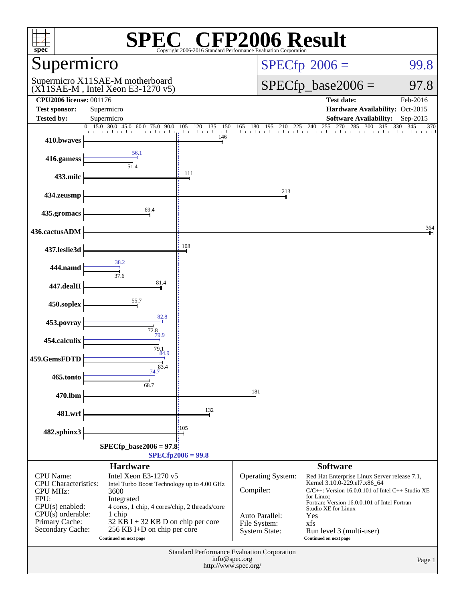| $\mathbb{C}^{\circledast}$ CFP2006 Result<br>$s\overline{\text{pec}}$<br>Copyright 2006-2016 Standard Performance Evaluation Corporation |                                                                                                                                                                          |     |                                                  |                                                                                                                                                                                                                                                      |                   |  |  |
|------------------------------------------------------------------------------------------------------------------------------------------|--------------------------------------------------------------------------------------------------------------------------------------------------------------------------|-----|--------------------------------------------------|------------------------------------------------------------------------------------------------------------------------------------------------------------------------------------------------------------------------------------------------------|-------------------|--|--|
| Supermicro                                                                                                                               |                                                                                                                                                                          |     |                                                  | $SPECfp^{\circledast}2006 =$<br>99.8                                                                                                                                                                                                                 |                   |  |  |
| Supermicro X11SAE-M motherboard<br>$(X11SAE-M$ , Intel Xeon E3-1270 v5)                                                                  |                                                                                                                                                                          |     |                                                  | $SPECfp\_base2006 =$<br>97.8                                                                                                                                                                                                                         |                   |  |  |
| <b>CPU2006 license: 001176</b>                                                                                                           |                                                                                                                                                                          |     |                                                  | <b>Test date:</b>                                                                                                                                                                                                                                    | Feb-2016          |  |  |
| <b>Test sponsor:</b><br><b>Tested by:</b>                                                                                                | Supermicro<br>Supermicro                                                                                                                                                 |     |                                                  | Hardware Availability: Oct-2015<br><b>Software Availability:</b>                                                                                                                                                                                     | Sep-2015          |  |  |
| $\overline{0}$                                                                                                                           | 15.0 30.0 45.0 60.0 75.0 90.0 105 120 135 150 165 180 195 210                                                                                                            |     |                                                  | 270<br>285<br>300<br>$225$ $240$ $255$ $270$<br>315                                                                                                                                                                                                  | 330<br>345<br>370 |  |  |
| 410.bwaves                                                                                                                               |                                                                                                                                                                          | 146 |                                                  |                                                                                                                                                                                                                                                      |                   |  |  |
| 416.gamess                                                                                                                               | 56.1<br>51.4                                                                                                                                                             |     |                                                  |                                                                                                                                                                                                                                                      |                   |  |  |
| 433.milc                                                                                                                                 |                                                                                                                                                                          | 111 |                                                  |                                                                                                                                                                                                                                                      |                   |  |  |
| 434.zeusmp                                                                                                                               |                                                                                                                                                                          |     | 213                                              |                                                                                                                                                                                                                                                      |                   |  |  |
| 435.gromacs                                                                                                                              | 69.4                                                                                                                                                                     |     |                                                  |                                                                                                                                                                                                                                                      |                   |  |  |
| 436.cactusADM                                                                                                                            |                                                                                                                                                                          |     |                                                  |                                                                                                                                                                                                                                                      | 364               |  |  |
| 437.leslie3d                                                                                                                             |                                                                                                                                                                          | 108 |                                                  |                                                                                                                                                                                                                                                      |                   |  |  |
| 444.namd                                                                                                                                 | 38.2<br>37.6                                                                                                                                                             |     |                                                  |                                                                                                                                                                                                                                                      |                   |  |  |
| 447.dealII                                                                                                                               | 81.4                                                                                                                                                                     |     |                                                  |                                                                                                                                                                                                                                                      |                   |  |  |
| 450.soplex                                                                                                                               | 55.7                                                                                                                                                                     |     |                                                  |                                                                                                                                                                                                                                                      |                   |  |  |
| 453.povray                                                                                                                               | 82.8<br>72.8                                                                                                                                                             |     |                                                  |                                                                                                                                                                                                                                                      |                   |  |  |
| 454.calculix                                                                                                                             | 79.9<br>79.1                                                                                                                                                             |     |                                                  |                                                                                                                                                                                                                                                      |                   |  |  |
| 459.GemsFDTD                                                                                                                             | 84.9<br>83.4                                                                                                                                                             |     |                                                  |                                                                                                                                                                                                                                                      |                   |  |  |
| 465.tonto                                                                                                                                | 74.7<br>68.7                                                                                                                                                             |     |                                                  |                                                                                                                                                                                                                                                      |                   |  |  |
| 470.lbm                                                                                                                                  |                                                                                                                                                                          |     | 181                                              |                                                                                                                                                                                                                                                      |                   |  |  |
| 481.wrf                                                                                                                                  |                                                                                                                                                                          | 132 |                                                  |                                                                                                                                                                                                                                                      |                   |  |  |
| 482.sphinx3                                                                                                                              |                                                                                                                                                                          | 105 |                                                  |                                                                                                                                                                                                                                                      |                   |  |  |
| $SPECfp\_base2006 = 97.8$                                                                                                                |                                                                                                                                                                          |     |                                                  |                                                                                                                                                                                                                                                      |                   |  |  |
| $SPECfp2006 = 99.8$                                                                                                                      |                                                                                                                                                                          |     |                                                  |                                                                                                                                                                                                                                                      |                   |  |  |
| CPU Name:<br><b>CPU</b> Characteristics:<br><b>CPU MHz:</b><br>FPU:<br>$CPU(s)$ enabled:<br>$CPU(s)$ orderable:                          | <b>Hardware</b><br>Intel Xeon E3-1270 v5<br>Intel Turbo Boost Technology up to 4.00 GHz<br>3600<br>Integrated<br>4 cores, 1 chip, 4 cores/chip, 2 threads/core<br>1 chip |     | Operating System:<br>Compiler:<br>Auto Parallel: | <b>Software</b><br>Red Hat Enterprise Linux Server release 7.1,<br>Kernel 3.10.0-229.el7.x86_64<br>$C/C++$ : Version 16.0.0.101 of Intel $C++$ Studio XE<br>for Linux:<br>Fortran: Version 16.0.0.101 of Intel Fortran<br>Studio XE for Linux<br>Yes |                   |  |  |
| Primary Cache:<br>Secondary Cache:                                                                                                       | $32$ KB I + 32 KB D on chip per core<br>256 KB I+D on chip per core<br>Continued on next page                                                                            |     | File System:<br><b>System State:</b>             | xfs<br>Run level 3 (multi-user)<br>Continued on next page                                                                                                                                                                                            |                   |  |  |
| <b>Standard Performance Evaluation Corporation</b><br>info@spec.org<br>http://www.spec.org/                                              |                                                                                                                                                                          |     |                                                  |                                                                                                                                                                                                                                                      | Page 1            |  |  |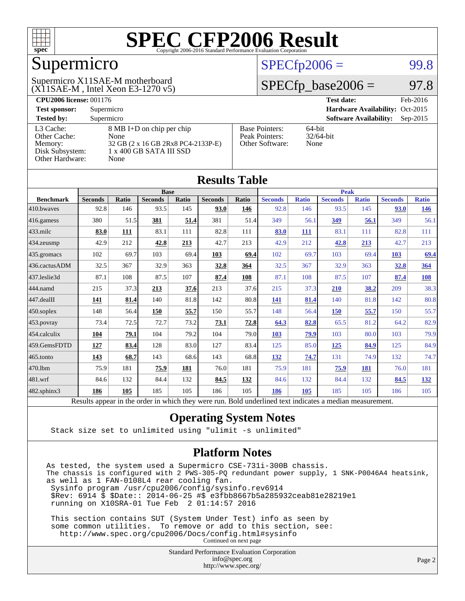

## Supermicro

#### (X11SAE-M , Intel Xeon E3-1270 v5) Supermicro X11SAE-M motherboard

#### $SPECTp2006 =$  99.8

#### $SPECfp\_base2006 = 97.8$

| <b>CPU2006 license: 001176</b> |                                    | Feb-2016<br><b>Test date:</b> |                                             |
|--------------------------------|------------------------------------|-------------------------------|---------------------------------------------|
| <b>Test sponsor:</b>           | Supermicro                         |                               | Hardware Availability: Oct-2015             |
| <b>Tested by:</b>              | Supermicro                         |                               | <b>Software Availability:</b><br>$Sep-2015$ |
| L3 Cache:                      | 8 MB I+D on chip per chip          | <b>Base Pointers:</b>         | $64$ -bit                                   |
| Other Cache:                   | None                               | Peak Pointers:                | $32/64$ -bit                                |
| Memory:                        | 32 GB (2 x 16 GB 2Rx8 PC4-2133P-E) | Other Software:               | None                                        |
| Disk Subsystem:                | $1 \times 400$ GB SATA III SSD     |                               |                                             |
| Other Hardware:                | None                               |                               |                                             |

**[Results Table](http://www.spec.org/auto/cpu2006/Docs/result-fields.html#ResultsTable)**

| Results Table                                                                                            |                |       |                |       |                |       |                |              |                |              |                |              |
|----------------------------------------------------------------------------------------------------------|----------------|-------|----------------|-------|----------------|-------|----------------|--------------|----------------|--------------|----------------|--------------|
|                                                                                                          | <b>Base</b>    |       |                |       |                |       | <b>Peak</b>    |              |                |              |                |              |
| <b>Benchmark</b>                                                                                         | <b>Seconds</b> | Ratio | <b>Seconds</b> | Ratio | <b>Seconds</b> | Ratio | <b>Seconds</b> | <b>Ratio</b> | <b>Seconds</b> | <b>Ratio</b> | <b>Seconds</b> | <b>Ratio</b> |
| 410.bwayes                                                                                               | 92.8           | 146   | 93.5           | 145   | 93.0           | 146   | 92.8           | 146          | 93.5           | 145          | 93.0           | <u>146</u>   |
| 416.gamess                                                                                               | 380            | 51.5  | 381            | 51.4  | 381            | 51.4  | 349            | 56.1         | 349            | 56.1         | 349            | 56.1         |
| $433$ .milc                                                                                              | 83.0           | 111   | 83.1           | 111   | 82.8           | 111   | 83.0           | 111          | 83.1           | 111          | 82.8           | 111          |
| 434.zeusmp                                                                                               | 42.9           | 212   | 42.8           | 213   | 42.7           | 213   | 42.9           | 212          | 42.8           | 213          | 42.7           | 213          |
| 435 gromacs                                                                                              | 102            | 69.7  | 103            | 69.4  | 103            | 69.4  | 102            | 69.7         | 103            | 69.4         | 103            | 69.4         |
| 436.cactusADM                                                                                            | 32.5           | 367   | 32.9           | 363   | 32.8           | 364   | 32.5           | 367          | 32.9           | 363          | 32.8           | 364          |
| 437.leslie3d                                                                                             | 87.1           | 108   | 87.5           | 107   | 87.4           | 108   | 87.1           | 108          | 87.5           | 107          | 87.4           | 108          |
| 444.namd                                                                                                 | 215            | 37.3  | 213            | 37.6  | 213            | 37.6  | 215            | 37.3         | 210            | 38.2         | 209            | 38.3         |
| 447.dealII                                                                                               | 141            | 81.4  | 140            | 81.8  | 142            | 80.8  | 141            | 81.4         | 140            | 81.8         | 142            | 80.8         |
| 450.soplex                                                                                               | 148            | 56.4  | 150            | 55.7  | 150            | 55.7  | 148            | 56.4         | 150            | 55.7         | 150            | 55.7         |
| 453.povray                                                                                               | 73.4           | 72.5  | 72.7           | 73.2  | 73.1           | 72.8  | 64.3           | 82.8         | 65.5           | 81.2         | 64.2           | 82.9         |
| 454.calculix                                                                                             | 104            | 79.1  | 104            | 79.2  | 104            | 79.0  | 103            | 79.9         | 103            | 80.0         | 103            | 79.9         |
| 459.GemsFDTD                                                                                             | 127            | 83.4  | 128            | 83.0  | 127            | 83.4  | 125            | 85.0         | <u>125</u>     | 84.9         | 125            | 84.9         |
| 465.tonto                                                                                                | 143            | 68.7  | 143            | 68.6  | 143            | 68.8  | <u>132</u>     | 74.7         | 131            | 74.9         | 132            | 74.7         |
| 470.1bm                                                                                                  | 75.9           | 181   | 75.9           | 181   | 76.0           | 181   | 75.9           | 181          | 75.9           | 181          | 76.0           | 181          |
| 481.wrf                                                                                                  | 84.6           | 132   | 84.4           | 132   | 84.5           | 132   | 84.6           | 132          | 84.4           | 132          | 84.5           | <u>132</u>   |
| 482.sphinx3                                                                                              | 186            | 105   | 185            | 105   | 186            | 105   | 186            | 105          | 185            | 105          | 186            | 105          |
| Results appear in the order in which they were run. Bold underlined text indicates a median measurement. |                |       |                |       |                |       |                |              |                |              |                |              |

#### **[Operating System Notes](http://www.spec.org/auto/cpu2006/Docs/result-fields.html#OperatingSystemNotes)**

Stack size set to unlimited using "ulimit -s unlimited"

#### **[Platform Notes](http://www.spec.org/auto/cpu2006/Docs/result-fields.html#PlatformNotes)**

As tested, the system used a Supermicro CSE-731i-300B chassis. The chassis is configured with 2 PWS-305-PQ redundant power supply, 1 SNK-P0046A4 heatsink, as well as 1 FAN-0108L4 rear cooling fan. Sysinfo program /usr/cpu2006/config/sysinfo.rev6914 \$Rev: 6914 \$ \$Date:: 2014-06-25 #\$ e3fbb8667b5a285932ceab81e28219e1 running on X10SRA-01 Tue Feb 2 01:14:57 2016

 This section contains SUT (System Under Test) info as seen by some common utilities. To remove or add to this section, see: <http://www.spec.org/cpu2006/Docs/config.html#sysinfo> Continued on next page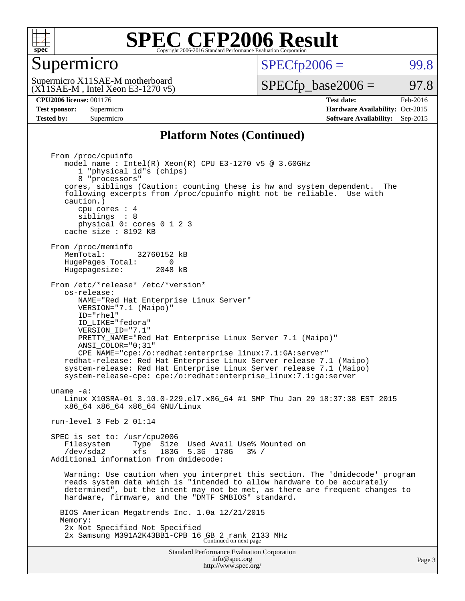

#### Supermicro

 $SPECTp2006 =$  99.8

(X11SAE-M , Intel Xeon E3-1270 v5) Supermicro X11SAE-M motherboard

 $SPECTp\_base2006 = 97.8$ 

**[Tested by:](http://www.spec.org/auto/cpu2006/Docs/result-fields.html#Testedby)** Supermicro **Supermicro [Software Availability:](http://www.spec.org/auto/cpu2006/Docs/result-fields.html#SoftwareAvailability)** Sep-2015

**[CPU2006 license:](http://www.spec.org/auto/cpu2006/Docs/result-fields.html#CPU2006license)** 001176 **[Test date:](http://www.spec.org/auto/cpu2006/Docs/result-fields.html#Testdate)** Feb-2016 **[Test sponsor:](http://www.spec.org/auto/cpu2006/Docs/result-fields.html#Testsponsor)** Supermicro Supermicro **[Hardware Availability:](http://www.spec.org/auto/cpu2006/Docs/result-fields.html#HardwareAvailability)** Oct-2015

#### **[Platform Notes \(Continued\)](http://www.spec.org/auto/cpu2006/Docs/result-fields.html#PlatformNotes)**

Standard Performance Evaluation Corporation [info@spec.org](mailto:info@spec.org) From /proc/cpuinfo model name : Intel(R) Xeon(R) CPU E3-1270 v5 @ 3.60GHz 1 "physical id"s (chips) 8 "processors" cores, siblings (Caution: counting these is hw and system dependent. The following excerpts from /proc/cpuinfo might not be reliable. Use with caution.) cpu cores : 4 siblings : 8 physical 0: cores 0 1 2 3 cache size : 8192 KB From /proc/meminfo<br>MemTotal: 32760152 kB HugePages\_Total: 0<br>Hugepagesize: 2048 kB Hugepagesize: From /etc/\*release\* /etc/\*version\* os-release: NAME="Red Hat Enterprise Linux Server" VERSION="7.1 (Maipo)" ID="rhel" ID\_LIKE="fedora" VERSION\_ID="7.1" PRETTY\_NAME="Red Hat Enterprise Linux Server 7.1 (Maipo)" ANSI\_COLOR="0;31" CPE\_NAME="cpe:/o:redhat:enterprise\_linux:7.1:GA:server" redhat-release: Red Hat Enterprise Linux Server release 7.1 (Maipo) system-release: Red Hat Enterprise Linux Server release 7.1 (Maipo) system-release-cpe: cpe:/o:redhat:enterprise\_linux:7.1:ga:server uname -a: Linux X10SRA-01 3.10.0-229.el7.x86\_64 #1 SMP Thu Jan 29 18:37:38 EST 2015 x86\_64 x86\_64 x86\_64 GNU/Linux run-level 3 Feb 2 01:14 SPEC is set to: /usr/cpu2006 Filesystem Type Size Used Avail Use% Mounted on /dev/sda2 xfs 183G 5.3G 178G 3% / Additional information from dmidecode: Warning: Use caution when you interpret this section. The 'dmidecode' program reads system data which is "intended to allow hardware to be accurately determined", but the intent may not be met, as there are frequent changes to hardware, firmware, and the "DMTF SMBIOS" standard. BIOS American Megatrends Inc. 1.0a 12/21/2015 Memory: 2x Not Specified Not Specified 2x Samsung M391A2K43BB1-CPB 16 GB 2 rank 2133 MHz Continued on next page

<http://www.spec.org/>

Page 3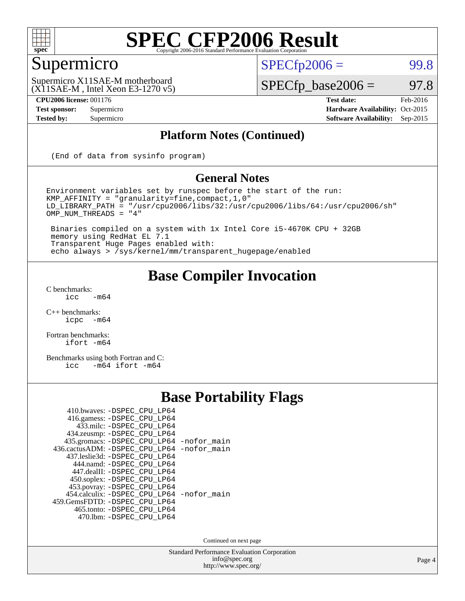

## Supermicro

 $SPECTp2006 =$  99.8

(X11SAE-M , Intel Xeon E3-1270 v5) Supermicro X11SAE-M motherboard

 $SPECfp\_base2006 = 97.8$ 

**[CPU2006 license:](http://www.spec.org/auto/cpu2006/Docs/result-fields.html#CPU2006license)** 001176 **[Test date:](http://www.spec.org/auto/cpu2006/Docs/result-fields.html#Testdate)** Feb-2016 **[Test sponsor:](http://www.spec.org/auto/cpu2006/Docs/result-fields.html#Testsponsor)** Supermicro Supermicro **[Hardware Availability:](http://www.spec.org/auto/cpu2006/Docs/result-fields.html#HardwareAvailability)** Oct-2015 **[Tested by:](http://www.spec.org/auto/cpu2006/Docs/result-fields.html#Testedby)** Supermicro **[Software Availability:](http://www.spec.org/auto/cpu2006/Docs/result-fields.html#SoftwareAvailability)** Sep-2015

#### **[Platform Notes \(Continued\)](http://www.spec.org/auto/cpu2006/Docs/result-fields.html#PlatformNotes)**

(End of data from sysinfo program)

#### **[General Notes](http://www.spec.org/auto/cpu2006/Docs/result-fields.html#GeneralNotes)**

Environment variables set by runspec before the start of the run: KMP\_AFFINITY = "granularity=fine,compact,1,0" LD\_LIBRARY\_PATH = "/usr/cpu2006/libs/32:/usr/cpu2006/libs/64:/usr/cpu2006/sh" OMP\_NUM\_THREADS = "4"

 Binaries compiled on a system with 1x Intel Core i5-4670K CPU + 32GB memory using RedHat EL 7.1 Transparent Huge Pages enabled with: echo always > /sys/kernel/mm/transparent\_hugepage/enabled

#### **[Base Compiler Invocation](http://www.spec.org/auto/cpu2006/Docs/result-fields.html#BaseCompilerInvocation)**

 $C$  benchmarks:<br>icc  $-m64$ 

[C++ benchmarks:](http://www.spec.org/auto/cpu2006/Docs/result-fields.html#CXXbenchmarks) [icpc -m64](http://www.spec.org/cpu2006/results/res2016q1/cpu2006-20160206-38981.flags.html#user_CXXbase_intel_icpc_64bit_bedb90c1146cab66620883ef4f41a67e)

[Fortran benchmarks](http://www.spec.org/auto/cpu2006/Docs/result-fields.html#Fortranbenchmarks): [ifort -m64](http://www.spec.org/cpu2006/results/res2016q1/cpu2006-20160206-38981.flags.html#user_FCbase_intel_ifort_64bit_ee9d0fb25645d0210d97eb0527dcc06e)

[Benchmarks using both Fortran and C](http://www.spec.org/auto/cpu2006/Docs/result-fields.html#BenchmarksusingbothFortranandC): [icc -m64](http://www.spec.org/cpu2006/results/res2016q1/cpu2006-20160206-38981.flags.html#user_CC_FCbase_intel_icc_64bit_0b7121f5ab7cfabee23d88897260401c) [ifort -m64](http://www.spec.org/cpu2006/results/res2016q1/cpu2006-20160206-38981.flags.html#user_CC_FCbase_intel_ifort_64bit_ee9d0fb25645d0210d97eb0527dcc06e)

### **[Base Portability Flags](http://www.spec.org/auto/cpu2006/Docs/result-fields.html#BasePortabilityFlags)**

| 410.bwaves: -DSPEC CPU LP64                |  |
|--------------------------------------------|--|
| 416.gamess: -DSPEC_CPU_LP64                |  |
| 433.milc: -DSPEC CPU LP64                  |  |
| 434.zeusmp: -DSPEC_CPU_LP64                |  |
| 435.gromacs: -DSPEC_CPU_LP64 -nofor_main   |  |
| 436.cactusADM: -DSPEC CPU LP64 -nofor main |  |
| 437.leslie3d: -DSPEC CPU LP64              |  |
| 444.namd: - DSPEC_CPU_LP64                 |  |
| 447.dealII: -DSPEC CPU LP64                |  |
| 450.soplex: - DSPEC_CPU_LP64               |  |
| 453.povray: -DSPEC_CPU_LP64                |  |
| 454.calculix: -DSPEC_CPU_LP64 -nofor_main  |  |
| 459. GemsFDTD: - DSPEC CPU LP64            |  |
| 465.tonto: - DSPEC_CPU_LP64                |  |
| 470.1bm: - DSPEC CPU LP64                  |  |

Continued on next page

Standard Performance Evaluation Corporation [info@spec.org](mailto:info@spec.org) <http://www.spec.org/>

Page 4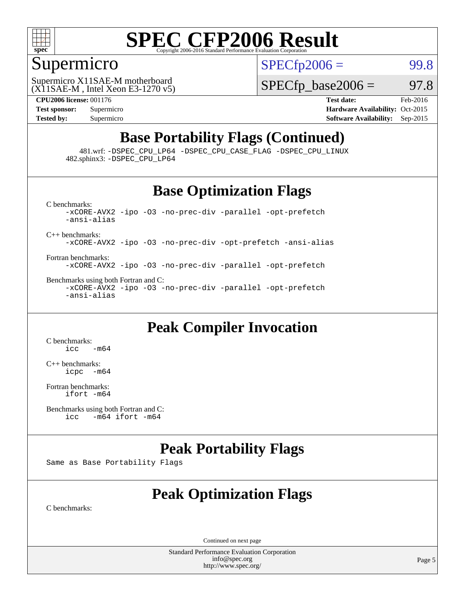

### Supermicro

 $SPECTp2006 =$  99.8

(X11SAE-M , Intel Xeon E3-1270 v5) Supermicro X11SAE-M motherboard

 $SPECTp\_base2006 = 97.8$ 

**[CPU2006 license:](http://www.spec.org/auto/cpu2006/Docs/result-fields.html#CPU2006license)** 001176 **[Test date:](http://www.spec.org/auto/cpu2006/Docs/result-fields.html#Testdate)** Feb-2016 **[Test sponsor:](http://www.spec.org/auto/cpu2006/Docs/result-fields.html#Testsponsor)** Supermicro Supermicro **[Hardware Availability:](http://www.spec.org/auto/cpu2006/Docs/result-fields.html#HardwareAvailability)** Oct-2015 **[Tested by:](http://www.spec.org/auto/cpu2006/Docs/result-fields.html#Testedby)** Supermicro **Supermicro [Software Availability:](http://www.spec.org/auto/cpu2006/Docs/result-fields.html#SoftwareAvailability)** Sep-2015

## **[Base Portability Flags \(Continued\)](http://www.spec.org/auto/cpu2006/Docs/result-fields.html#BasePortabilityFlags)**

 481.wrf: [-DSPEC\\_CPU\\_LP64](http://www.spec.org/cpu2006/results/res2016q1/cpu2006-20160206-38981.flags.html#suite_basePORTABILITY481_wrf_DSPEC_CPU_LP64) [-DSPEC\\_CPU\\_CASE\\_FLAG](http://www.spec.org/cpu2006/results/res2016q1/cpu2006-20160206-38981.flags.html#b481.wrf_baseCPORTABILITY_DSPEC_CPU_CASE_FLAG) [-DSPEC\\_CPU\\_LINUX](http://www.spec.org/cpu2006/results/res2016q1/cpu2006-20160206-38981.flags.html#b481.wrf_baseCPORTABILITY_DSPEC_CPU_LINUX) 482.sphinx3: [-DSPEC\\_CPU\\_LP64](http://www.spec.org/cpu2006/results/res2016q1/cpu2006-20160206-38981.flags.html#suite_basePORTABILITY482_sphinx3_DSPEC_CPU_LP64)

#### **[Base Optimization Flags](http://www.spec.org/auto/cpu2006/Docs/result-fields.html#BaseOptimizationFlags)**

[C benchmarks](http://www.spec.org/auto/cpu2006/Docs/result-fields.html#Cbenchmarks): [-xCORE-AVX2](http://www.spec.org/cpu2006/results/res2016q1/cpu2006-20160206-38981.flags.html#user_CCbase_f-xAVX2_5f5fc0cbe2c9f62c816d3e45806c70d7) [-ipo](http://www.spec.org/cpu2006/results/res2016q1/cpu2006-20160206-38981.flags.html#user_CCbase_f-ipo) [-O3](http://www.spec.org/cpu2006/results/res2016q1/cpu2006-20160206-38981.flags.html#user_CCbase_f-O3) [-no-prec-div](http://www.spec.org/cpu2006/results/res2016q1/cpu2006-20160206-38981.flags.html#user_CCbase_f-no-prec-div) [-parallel](http://www.spec.org/cpu2006/results/res2016q1/cpu2006-20160206-38981.flags.html#user_CCbase_f-parallel) [-opt-prefetch](http://www.spec.org/cpu2006/results/res2016q1/cpu2006-20160206-38981.flags.html#user_CCbase_f-opt-prefetch) [-ansi-alias](http://www.spec.org/cpu2006/results/res2016q1/cpu2006-20160206-38981.flags.html#user_CCbase_f-ansi-alias) [C++ benchmarks:](http://www.spec.org/auto/cpu2006/Docs/result-fields.html#CXXbenchmarks) [-xCORE-AVX2](http://www.spec.org/cpu2006/results/res2016q1/cpu2006-20160206-38981.flags.html#user_CXXbase_f-xAVX2_5f5fc0cbe2c9f62c816d3e45806c70d7) [-ipo](http://www.spec.org/cpu2006/results/res2016q1/cpu2006-20160206-38981.flags.html#user_CXXbase_f-ipo) [-O3](http://www.spec.org/cpu2006/results/res2016q1/cpu2006-20160206-38981.flags.html#user_CXXbase_f-O3) [-no-prec-div](http://www.spec.org/cpu2006/results/res2016q1/cpu2006-20160206-38981.flags.html#user_CXXbase_f-no-prec-div) [-opt-prefetch](http://www.spec.org/cpu2006/results/res2016q1/cpu2006-20160206-38981.flags.html#user_CXXbase_f-opt-prefetch) [-ansi-alias](http://www.spec.org/cpu2006/results/res2016q1/cpu2006-20160206-38981.flags.html#user_CXXbase_f-ansi-alias)

[Fortran benchmarks](http://www.spec.org/auto/cpu2006/Docs/result-fields.html#Fortranbenchmarks): [-xCORE-AVX2](http://www.spec.org/cpu2006/results/res2016q1/cpu2006-20160206-38981.flags.html#user_FCbase_f-xAVX2_5f5fc0cbe2c9f62c816d3e45806c70d7) [-ipo](http://www.spec.org/cpu2006/results/res2016q1/cpu2006-20160206-38981.flags.html#user_FCbase_f-ipo) [-O3](http://www.spec.org/cpu2006/results/res2016q1/cpu2006-20160206-38981.flags.html#user_FCbase_f-O3) [-no-prec-div](http://www.spec.org/cpu2006/results/res2016q1/cpu2006-20160206-38981.flags.html#user_FCbase_f-no-prec-div) [-parallel](http://www.spec.org/cpu2006/results/res2016q1/cpu2006-20160206-38981.flags.html#user_FCbase_f-parallel) [-opt-prefetch](http://www.spec.org/cpu2006/results/res2016q1/cpu2006-20160206-38981.flags.html#user_FCbase_f-opt-prefetch)

[Benchmarks using both Fortran and C](http://www.spec.org/auto/cpu2006/Docs/result-fields.html#BenchmarksusingbothFortranandC): [-xCORE-AVX2](http://www.spec.org/cpu2006/results/res2016q1/cpu2006-20160206-38981.flags.html#user_CC_FCbase_f-xAVX2_5f5fc0cbe2c9f62c816d3e45806c70d7) [-ipo](http://www.spec.org/cpu2006/results/res2016q1/cpu2006-20160206-38981.flags.html#user_CC_FCbase_f-ipo) [-O3](http://www.spec.org/cpu2006/results/res2016q1/cpu2006-20160206-38981.flags.html#user_CC_FCbase_f-O3) [-no-prec-div](http://www.spec.org/cpu2006/results/res2016q1/cpu2006-20160206-38981.flags.html#user_CC_FCbase_f-no-prec-div) [-parallel](http://www.spec.org/cpu2006/results/res2016q1/cpu2006-20160206-38981.flags.html#user_CC_FCbase_f-parallel) [-opt-prefetch](http://www.spec.org/cpu2006/results/res2016q1/cpu2006-20160206-38981.flags.html#user_CC_FCbase_f-opt-prefetch) [-ansi-alias](http://www.spec.org/cpu2006/results/res2016q1/cpu2006-20160206-38981.flags.html#user_CC_FCbase_f-ansi-alias)

#### **[Peak Compiler Invocation](http://www.spec.org/auto/cpu2006/Docs/result-fields.html#PeakCompilerInvocation)**

[C benchmarks](http://www.spec.org/auto/cpu2006/Docs/result-fields.html#Cbenchmarks):  $\text{icc}$   $-\text{m64}$ 

[C++ benchmarks:](http://www.spec.org/auto/cpu2006/Docs/result-fields.html#CXXbenchmarks) [icpc -m64](http://www.spec.org/cpu2006/results/res2016q1/cpu2006-20160206-38981.flags.html#user_CXXpeak_intel_icpc_64bit_bedb90c1146cab66620883ef4f41a67e)

[Fortran benchmarks](http://www.spec.org/auto/cpu2006/Docs/result-fields.html#Fortranbenchmarks): [ifort -m64](http://www.spec.org/cpu2006/results/res2016q1/cpu2006-20160206-38981.flags.html#user_FCpeak_intel_ifort_64bit_ee9d0fb25645d0210d97eb0527dcc06e)

[Benchmarks using both Fortran and C](http://www.spec.org/auto/cpu2006/Docs/result-fields.html#BenchmarksusingbothFortranandC):<br>icc -m64 if ort -m64  $-m64$  ifort  $-m64$ 

#### **[Peak Portability Flags](http://www.spec.org/auto/cpu2006/Docs/result-fields.html#PeakPortabilityFlags)**

Same as Base Portability Flags

## **[Peak Optimization Flags](http://www.spec.org/auto/cpu2006/Docs/result-fields.html#PeakOptimizationFlags)**

[C benchmarks](http://www.spec.org/auto/cpu2006/Docs/result-fields.html#Cbenchmarks):

Continued on next page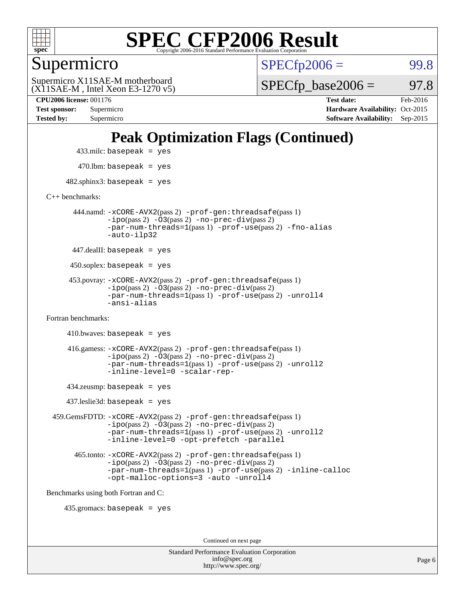

Supermicro

 $SPECTp2006 =$  99.8

(X11SAE-M , Intel Xeon E3-1270 v5) Supermicro X11SAE-M motherboard

 $SPECTp\_base2006 = 97.8$ 

**[CPU2006 license:](http://www.spec.org/auto/cpu2006/Docs/result-fields.html#CPU2006license)** 001176 **[Test date:](http://www.spec.org/auto/cpu2006/Docs/result-fields.html#Testdate)** Feb-2016 **[Test sponsor:](http://www.spec.org/auto/cpu2006/Docs/result-fields.html#Testsponsor)** Supermicro **[Hardware Availability:](http://www.spec.org/auto/cpu2006/Docs/result-fields.html#HardwareAvailability)** Oct-2015 **[Tested by:](http://www.spec.org/auto/cpu2006/Docs/result-fields.html#Testedby)** Supermicro **Supermicro [Software Availability:](http://www.spec.org/auto/cpu2006/Docs/result-fields.html#SoftwareAvailability)** Sep-2015

## **[Peak Optimization Flags \(Continued\)](http://www.spec.org/auto/cpu2006/Docs/result-fields.html#PeakOptimizationFlags)**

433.milc: basepeak = yes

 $470.$ lbm: basepeak = yes

 $482$ .sphinx3: basepeak = yes

[C++ benchmarks:](http://www.spec.org/auto/cpu2006/Docs/result-fields.html#CXXbenchmarks)

 444.namd: [-xCORE-AVX2](http://www.spec.org/cpu2006/results/res2016q1/cpu2006-20160206-38981.flags.html#user_peakPASS2_CXXFLAGSPASS2_LDFLAGS444_namd_f-xAVX2_5f5fc0cbe2c9f62c816d3e45806c70d7)(pass 2) [-prof-gen:threadsafe](http://www.spec.org/cpu2006/results/res2016q1/cpu2006-20160206-38981.flags.html#user_peakPASS1_CXXFLAGSPASS1_LDFLAGS444_namd_prof_gen_21a26eb79f378b550acd7bec9fe4467a)(pass 1) [-ipo](http://www.spec.org/cpu2006/results/res2016q1/cpu2006-20160206-38981.flags.html#user_peakPASS2_CXXFLAGSPASS2_LDFLAGS444_namd_f-ipo)(pass 2) [-O3](http://www.spec.org/cpu2006/results/res2016q1/cpu2006-20160206-38981.flags.html#user_peakPASS2_CXXFLAGSPASS2_LDFLAGS444_namd_f-O3)(pass 2) [-no-prec-div](http://www.spec.org/cpu2006/results/res2016q1/cpu2006-20160206-38981.flags.html#user_peakPASS2_CXXFLAGSPASS2_LDFLAGS444_namd_f-no-prec-div)(pass 2) [-par-num-threads=1](http://www.spec.org/cpu2006/results/res2016q1/cpu2006-20160206-38981.flags.html#user_peakPASS1_CXXFLAGSPASS1_LDFLAGS444_namd_par_num_threads_786a6ff141b4e9e90432e998842df6c2)(pass 1) [-prof-use](http://www.spec.org/cpu2006/results/res2016q1/cpu2006-20160206-38981.flags.html#user_peakPASS2_CXXFLAGSPASS2_LDFLAGS444_namd_prof_use_bccf7792157ff70d64e32fe3e1250b55)(pass 2) [-fno-alias](http://www.spec.org/cpu2006/results/res2016q1/cpu2006-20160206-38981.flags.html#user_peakCXXOPTIMIZEOPTIMIZE444_namd_f-no-alias_694e77f6c5a51e658e82ccff53a9e63a) [-auto-ilp32](http://www.spec.org/cpu2006/results/res2016q1/cpu2006-20160206-38981.flags.html#user_peakCXXOPTIMIZE444_namd_f-auto-ilp32)

447.dealII: basepeak = yes

 $450$ .soplex: basepeak = yes

 453.povray: [-xCORE-AVX2](http://www.spec.org/cpu2006/results/res2016q1/cpu2006-20160206-38981.flags.html#user_peakPASS2_CXXFLAGSPASS2_LDFLAGS453_povray_f-xAVX2_5f5fc0cbe2c9f62c816d3e45806c70d7)(pass 2) [-prof-gen:threadsafe](http://www.spec.org/cpu2006/results/res2016q1/cpu2006-20160206-38981.flags.html#user_peakPASS1_CXXFLAGSPASS1_LDFLAGS453_povray_prof_gen_21a26eb79f378b550acd7bec9fe4467a)(pass 1)  $-ipo(pass 2) -\overline{O3(pass 2)}$  $-ipo(pass 2) -\overline{O3(pass 2)}$  [-no-prec-div](http://www.spec.org/cpu2006/results/res2016q1/cpu2006-20160206-38981.flags.html#user_peakPASS2_CXXFLAGSPASS2_LDFLAGS453_povray_f-no-prec-div)(pass 2) [-par-num-threads=1](http://www.spec.org/cpu2006/results/res2016q1/cpu2006-20160206-38981.flags.html#user_peakPASS1_CXXFLAGSPASS1_LDFLAGS453_povray_par_num_threads_786a6ff141b4e9e90432e998842df6c2)(pass 1) [-prof-use](http://www.spec.org/cpu2006/results/res2016q1/cpu2006-20160206-38981.flags.html#user_peakPASS2_CXXFLAGSPASS2_LDFLAGS453_povray_prof_use_bccf7792157ff70d64e32fe3e1250b55)(pass 2) [-unroll4](http://www.spec.org/cpu2006/results/res2016q1/cpu2006-20160206-38981.flags.html#user_peakCXXOPTIMIZE453_povray_f-unroll_4e5e4ed65b7fd20bdcd365bec371b81f) [-ansi-alias](http://www.spec.org/cpu2006/results/res2016q1/cpu2006-20160206-38981.flags.html#user_peakCXXOPTIMIZE453_povray_f-ansi-alias)

[Fortran benchmarks](http://www.spec.org/auto/cpu2006/Docs/result-fields.html#Fortranbenchmarks):

```
410.bwaves: basepeak = yes 416.gamess: -xCORE-AVX2(pass 2) -prof-gen:threadsafe(pass 1)
-i\text{po}(pass 2) -\tilde{O}3(pass 2)-no-prec-div(pass 2)
-par-num-threads=1(pass 1) -prof-use(pass 2) -unroll2
-inline-level=0 -scalar-rep-
```
434.zeusmp: basepeak = yes

437.leslie3d: basepeak = yes

 459.GemsFDTD: [-xCORE-AVX2](http://www.spec.org/cpu2006/results/res2016q1/cpu2006-20160206-38981.flags.html#user_peakPASS2_FFLAGSPASS2_LDFLAGS459_GemsFDTD_f-xAVX2_5f5fc0cbe2c9f62c816d3e45806c70d7)(pass 2) [-prof-gen:threadsafe](http://www.spec.org/cpu2006/results/res2016q1/cpu2006-20160206-38981.flags.html#user_peakPASS1_FFLAGSPASS1_LDFLAGS459_GemsFDTD_prof_gen_21a26eb79f378b550acd7bec9fe4467a)(pass 1) [-ipo](http://www.spec.org/cpu2006/results/res2016q1/cpu2006-20160206-38981.flags.html#user_peakPASS2_FFLAGSPASS2_LDFLAGS459_GemsFDTD_f-ipo)(pass 2) [-O3](http://www.spec.org/cpu2006/results/res2016q1/cpu2006-20160206-38981.flags.html#user_peakPASS2_FFLAGSPASS2_LDFLAGS459_GemsFDTD_f-O3)(pass 2) [-no-prec-div](http://www.spec.org/cpu2006/results/res2016q1/cpu2006-20160206-38981.flags.html#user_peakPASS2_FFLAGSPASS2_LDFLAGS459_GemsFDTD_f-no-prec-div)(pass 2) [-par-num-threads=1](http://www.spec.org/cpu2006/results/res2016q1/cpu2006-20160206-38981.flags.html#user_peakPASS1_FFLAGSPASS1_LDFLAGS459_GemsFDTD_par_num_threads_786a6ff141b4e9e90432e998842df6c2)(pass 1) [-prof-use](http://www.spec.org/cpu2006/results/res2016q1/cpu2006-20160206-38981.flags.html#user_peakPASS2_FFLAGSPASS2_LDFLAGS459_GemsFDTD_prof_use_bccf7792157ff70d64e32fe3e1250b55)(pass 2) [-unroll2](http://www.spec.org/cpu2006/results/res2016q1/cpu2006-20160206-38981.flags.html#user_peakOPTIMIZE459_GemsFDTD_f-unroll_784dae83bebfb236979b41d2422d7ec2) [-inline-level=0](http://www.spec.org/cpu2006/results/res2016q1/cpu2006-20160206-38981.flags.html#user_peakOPTIMIZE459_GemsFDTD_f-inline-level_318d07a09274ad25e8d15dbfaa68ba50) [-opt-prefetch](http://www.spec.org/cpu2006/results/res2016q1/cpu2006-20160206-38981.flags.html#user_peakOPTIMIZE459_GemsFDTD_f-opt-prefetch) [-parallel](http://www.spec.org/cpu2006/results/res2016q1/cpu2006-20160206-38981.flags.html#user_peakOPTIMIZE459_GemsFDTD_f-parallel)

 465.tonto: [-xCORE-AVX2](http://www.spec.org/cpu2006/results/res2016q1/cpu2006-20160206-38981.flags.html#user_peakPASS2_FFLAGSPASS2_LDFLAGS465_tonto_f-xAVX2_5f5fc0cbe2c9f62c816d3e45806c70d7)(pass 2) [-prof-gen:threadsafe](http://www.spec.org/cpu2006/results/res2016q1/cpu2006-20160206-38981.flags.html#user_peakPASS1_FFLAGSPASS1_LDFLAGS465_tonto_prof_gen_21a26eb79f378b550acd7bec9fe4467a)(pass 1)  $-i\text{po}(pass 2) -\overline{0}3(pass 2)$  [-no-prec-div](http://www.spec.org/cpu2006/results/res2016q1/cpu2006-20160206-38981.flags.html#user_peakPASS2_FFLAGSPASS2_LDFLAGS465_tonto_f-no-prec-div)(pass 2) [-par-num-threads=1](http://www.spec.org/cpu2006/results/res2016q1/cpu2006-20160206-38981.flags.html#user_peakPASS1_FFLAGSPASS1_LDFLAGS465_tonto_par_num_threads_786a6ff141b4e9e90432e998842df6c2)(pass 1) [-prof-use](http://www.spec.org/cpu2006/results/res2016q1/cpu2006-20160206-38981.flags.html#user_peakPASS2_FFLAGSPASS2_LDFLAGS465_tonto_prof_use_bccf7792157ff70d64e32fe3e1250b55)(pass 2) [-inline-calloc](http://www.spec.org/cpu2006/results/res2016q1/cpu2006-20160206-38981.flags.html#user_peakOPTIMIZE465_tonto_f-inline-calloc) [-opt-malloc-options=3](http://www.spec.org/cpu2006/results/res2016q1/cpu2006-20160206-38981.flags.html#user_peakOPTIMIZE465_tonto_f-opt-malloc-options_13ab9b803cf986b4ee62f0a5998c2238) [-auto](http://www.spec.org/cpu2006/results/res2016q1/cpu2006-20160206-38981.flags.html#user_peakOPTIMIZE465_tonto_f-auto) [-unroll4](http://www.spec.org/cpu2006/results/res2016q1/cpu2006-20160206-38981.flags.html#user_peakOPTIMIZE465_tonto_f-unroll_4e5e4ed65b7fd20bdcd365bec371b81f)

[Benchmarks using both Fortran and C](http://www.spec.org/auto/cpu2006/Docs/result-fields.html#BenchmarksusingbothFortranandC):

435.gromacs: basepeak = yes

Continued on next page